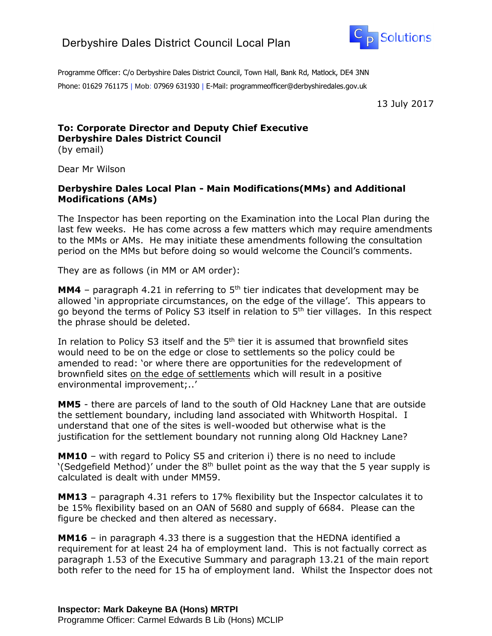

Programme Officer: C/o Derbyshire Dales District Council, Town Hall, Bank Rd, Matlock, DE4 3NN Phone: 01629 761175 | Mob: 07969 631930 | E-Mail: programmeofficer@derbyshiredales.gov.uk

13 July 2017

## **To: Corporate Director and Deputy Chief Executive Derbyshire Dales District Council**

(by email)

Dear Mr Wilson

## **Derbyshire Dales Local Plan - Main Modifications(MMs) and Additional Modifications (AMs)**

The Inspector has been reporting on the Examination into the Local Plan during the last few weeks. He has come across a few matters which may require amendments to the MMs or AMs. He may initiate these amendments following the consultation period on the MMs but before doing so would welcome the Council's comments.

They are as follows (in MM or AM order):

**MM4** – paragraph 4.21 in referring to  $5<sup>th</sup>$  tier indicates that development may be allowed 'in appropriate circumstances, on the edge of the village'. This appears to go beyond the terms of Policy S3 itself in relation to 5<sup>th</sup> tier villages. In this respect the phrase should be deleted.

In relation to Policy S3 itself and the  $5<sup>th</sup>$  tier it is assumed that brownfield sites would need to be on the edge or close to settlements so the policy could be amended to read: 'or where there are opportunities for the redevelopment of brownfield sites on the edge of settlements which will result in a positive environmental improvement;..'

**MM5** - there are parcels of land to the south of Old Hackney Lane that are outside the settlement boundary, including land associated with Whitworth Hospital. I understand that one of the sites is well-wooded but otherwise what is the justification for the settlement boundary not running along Old Hackney Lane?

**MM10** – with regard to Policy S5 and criterion i) there is no need to include '(Sedgefield Method)' under the  $8<sup>th</sup>$  bullet point as the way that the 5 year supply is calculated is dealt with under MM59.

**MM13** – paragraph 4.31 refers to 17% flexibility but the Inspector calculates it to be 15% flexibility based on an OAN of 5680 and supply of 6684. Please can the figure be checked and then altered as necessary.

**MM16** – in paragraph 4.33 there is a suggestion that the HEDNA identified a requirement for at least 24 ha of employment land. This is not factually correct as paragraph 1.53 of the Executive Summary and paragraph 13.21 of the main report both refer to the need for 15 ha of employment land. Whilst the Inspector does not